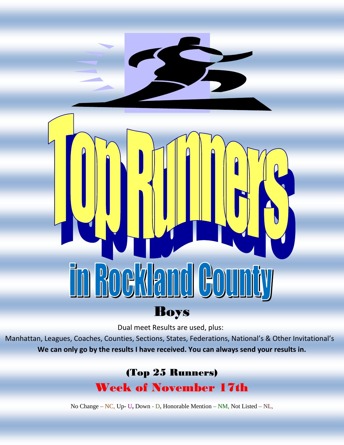# 6  $\parallel$ Boys

Dual meet Results are used, plus:

Manhattan, Leagues, Coaches, Counties, Sections, States, Federations, National's & Other Invitational's **We can only go by the results I have received. You can always send your results in.**

# (Top 25 Runners) Week of November 17th

No Change – NC, Up- U**,** Down - D**,** Honorable Mention – NM, Not Listed – NL,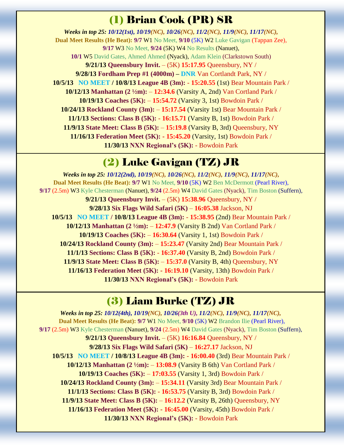## (1) Brian Cook (PR) SR

*Weeks in top 25: 10/12(1st), 10/19(NC), 10/26(NC), 11/2(NC), 11/9(NC), 11/17(NC),* **Dual Meet Results (He Beat): 9/7** W1 No Meet, **9/10** (5K) W2 Luke Gavigan (Tappan Zee), **9/17** W3 No Meet, **9/24** (5K) W4 No Results (Nanuet), **10/1** W5 David Gates, Ahmed Ahmed (Nyack), Adam Klein (Clarkstown South) **9/21/13 Queensbury Invit.** – (5K) **15:17.95** Queensbury, NY / **9/28/13 Fordham Prep #1 (4000m) – DNR** Van Cortlandt Park, NY / **10/5/13 NO MEET / 10/8/13 League 4B (3m):** - **15:20.55** (1st) Bear Mountain Park / **10/12/13 Manhattan (2 ½m):** – **12:34.6** (Varsity A, 2nd) Van Cortland Park / **10/19/13 Coaches (5K):** – **15:54.72** (Varsity 3, 1st) Bowdoin Park / **10/24/13 Rockland County (3m):** – **15:17.54** (Varsity 1st) Bear Mountain Park / **11/1/13 Sections: Class B (5K):** - **16:15.71** (Varsity B, 1st) Bowdoin Park / **11/9/13 State Meet: Class B (5K):** – **15:19.8** (Varsity B, 3rd) Queensbury, NY **11/16/13 Federation Meet (5K): - 15:45.20** (Varsity, 1st) Bowdoin Park / **11/30/13 NXN Regional's (5K):** - Bowdoin Park

### (2) Luke Gavigan (TZ) JR

*Weeks in top 25: 10/12(2nd), 10/19(NC), 10/26(NC), 11/2(NC), 11/9(NC), 11/17(NC),* **Dual Meet Results (He Beat): 9/7** W1 No Meet, **9/10** (5K) W2 Ben McDermott (Pearl River), **9/17** (2.5m) W3 Kyle Chesterman (Nanuet), **9/24** (2.5m) W4 David Gates (Nyack), Tim Boston (Suffern), **9/21/13 Queensbury Invit.** – (5K) **15:38.96** Queensbury, NY / **9/28/13 Six Flags Wild Safari (5K)** – **16:05.38** Jackson, NJ **10/5/13 NO MEET / 10/8/13 League 4B (3m):** - **15:38.95** (2nd) Bear Mountain Park / **10/12/13 Manhattan (2 ½m):** – **12:47.9** (Varsity B 2nd) Van Cortland Park / **10/19/13 Coaches (5K):** – **16:30.64** (Varsity 1, 1st) Bowdoin Park / **10/24/13 Rockland County (3m):** – **15:23.47** (Varsity 2nd) Bear Mountain Park / **11/1/13 Sections: Class B (5K):** - **16:37.40** (Varsity B, 2nd) Bowdoin Park / **11/9/13 State Meet: Class B (5K):** – **15:37.0** (Varsity B, 4th) Queensbury, NY **11/16/13 Federation Meet (5K): - 16:19.10** (Varsity, 13th) Bowdoin Park / **11/30/13 NXN Regional's (5K):** - Bowdoin Park

#### (3) Liam Burke (TZ) JR

*Weeks in top 25: 10/12(4th), 10/19(NC), 10/26(3th U), 11/2(NC), 11/9(NC), 11/17(NC),* **Dual Meet Results (He Beat): 9/7** W1 No Meet, **9/10** (5K) W2 Brandon Ilie (Pearl River), **9/17** (2.5m) W3 Kyle Chesterman (Nanuet), **9/24** (2.5m) W4 David Gates (Nyack), Tim Boston (Suffern), **9/21/13 Queensbury Invit.** – (5K) **16:16.84** Queensbury, NY / **9/28/13 Six Flags Wild Safari (5K)** – **16:27.17** Jackson, NJ **10/5/13 NO MEET / 10/8/13 League 4B (3m):** - **16:00.40** (3rd) Bear Mountain Park / **10/12/13 Manhattan (2 ½m):** – **13:08.9** (Varsity B 6th) Van Cortland Park / **10/19/13 Coaches (5K):** – **17:03.55** (Varsity 1, 3rd) Bowdoin Park / **10/24/13 Rockland County (3m):** – **15:34.11** (Varsity 3rd) Bear Mountain Park / **11/1/13 Sections: Class B (5K):** - **16:53.75** (Varsity B, 3rd) Bowdoin Park / **11/9/13 State Meet: Class B (5K):** – **16:12.2** (Varsity B, 26th) Queensbury, NY **11/16/13 Federation Meet (5K): - 16:45.00** (Varsity, 45th) Bowdoin Park / **11/30/13 NXN Regional's (5K):** - Bowdoin Park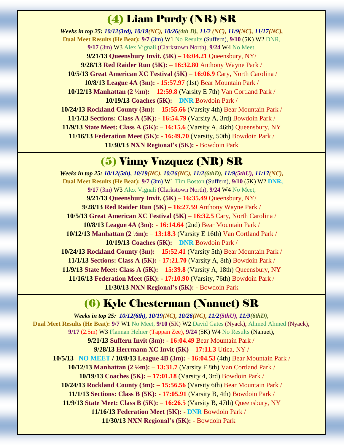# (4) Liam Purdy (NR) SR

*Weeks in top 25: 10/12(3rd), 10/19(NC), 10/26(4th D), 11/2 (NC), 11/9(NC), 11/17(NC),* **Dual Meet Results (He Beat): 9/7** (3m) W1 No Results (Suffern), **9/10** (5K) W2 DNR, **9/17** (3m) W3 Alex Vignali (Clarkstown North), **9/24** W4 No Meet, **9/21/13 Queensbury Invit. (5K)** – **16:04.21** Queensbury, NY/ **9/28/13 Red Raider Run (5K):** – **16:32.80** Anthony Wayne Park / **10/5/13 Great American XC Festival (5K)** – **16:06.9** Cary, North Carolina / **10/8/13 League 4A (3m):** - **15:57.97** (1st) Bear Mountain Park / **10/12/13 Manhattan (2 ½m):** – **12:59.8** (Varsity E 7th) Van Cortland Park / **10/19/13 Coaches (5K):** – **DNR** Bowdoin Park / **10/24/13 Rockland County (3m):** – **15:55.66** (Varsity 4th) Bear Mountain Park / **11/1/13 Sections: Class A (5K):** - **16:54.79** (Varsity A, 3rd) Bowdoin Park / **11/9/13 State Meet: Class A (5K):** – **16:15.6** (Varsity A, 46th) Queensbury, NY **11/16/13 Federation Meet (5K): - 16:49.70** (Varsity, 50th) Bowdoin Park / **11/30/13 NXN Regional's (5K):** - Bowdoin Park

#### (5) Vinny Vazquez (NR) SR

*Weeks in top 25: 10/12(5th), 10/19(NC), 10/26(NC), 11/2(6thD), 11/9(5thU), 11/17(NC),* **Dual Meet Results (He Beat): 9/7** (3m) W1 Tim Boston (Suffern), **9/10** (5K) W2 **DNR, 9/17** (3m) W3 Alex Vignali (Clarkstown North), **9/24** W4 No Meet, **9/21/13 Queensbury Invit. (5K)** – **16:35.49** Queensbury, NY/ **9/28/13 Red Raider Run (5K)** – **16:27.59** Anthony Wayne Park / **10/5/13 Great American XC Festival (5K)** – **16:32.5** Cary, North Carolina / **10/8/13 League 4A (3m):** - **16:14.64** (2nd) Bear Mountain Park / **10/12/13 Manhattan (2 ½m):** – **13:18.3** (Varsity E 16th) Van Cortland Park / **10/19/13 Coaches (5K):** – **DNR** Bowdoin Park / **10/24/13 Rockland County (3m):** – **15:52.41** (Varsity 5th) Bear Mountain Park / **11/1/13 Sections: Class A (5K):** - **17:21.70** (Varsity A, 8th) Bowdoin Park / **11/9/13 State Meet: Class A (5K):** – **15:39.8** (Varsity A, 18th) Queensbury, NY **11/16/13 Federation Meet (5K): - 17:10.90** (Varsity, 76th) Bowdoin Park / **11/30/13 NXN Regional's (5K):** - Bowdoin Park

#### (6) Kyle Chesterman (Nanuet) SR

*Weeks in top 25: 10/12(6th), 10/19(NC), 10/26(NC), 11/2(5thU), 11/9(6thD),* **Dual Meet Results (He Beat): 9/7** W1 No Meet, **9/10** (5K) W2 David Gates (Nyack), Ahmed Ahmed (Nyack), **9/17** (2.5m) W3 Flannan Hehier (Tappan Zee), **9/24** (5K) W4 No Results (Nanuet), **9/21/13 Suffern Invit (3m):** - **16:04.49** Bear Mountain Park / **9/28/13 Herrmann XC Invit (5K) – 17:11.3** Utica, NY / **10/5/13 NO MEET / 10/8/13 League 4B (3m):** - **16:04.53** (4th) Bear Mountain Park / **10/12/13 Manhattan (2 ½m):** – **13:31.7** (Varsity F 8th) Van Cortland Park / **10/19/13 Coaches (5K):** – **17:01.18** (Varsity 4, 3rd) Bowdoin Park / **10/24/13 Rockland County (3m):** – **15:56.56** (Varsity 6th) Bear Mountain Park / **11/1/13 Sections: Class B (5K):** - **17:05.91** (Varsity B, 4th) Bowdoin Park / **11/9/13 State Meet: Class B (5K):** – **16:26.5** (Varsity B, 47th) Queensbury, NY **11/16/13 Federation Meet (5K): - DNR** Bowdoin Park / **11/30/13 NXN Regional's (5K):** - Bowdoin Park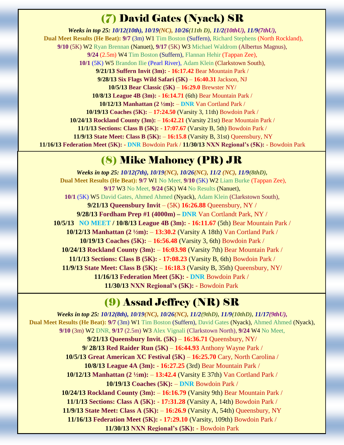# (7) David Gates (Nyack) SR

*Weeks in top 25: 10/12(10th), 10/19(NC), 10/26(11th D), 11/2(10thU), 11/9(7thU),* **Dual Meet Results (He Beat): 9/7** (3m) W1 Tim Boston (Suffern), Richard Stephens (North Rockland), **9/10** (5K) W2 Ryan Brennan (Nanuet), **9/17** (5K) W3 Michael Waldrom (Albertus Magnus), **9/24** (2.5m) W4 Tim Boston (Suffern), Flannan Hehir (Tappan Zee), **10/1** (5K) W5 Brandon Ilie (Pearl River), Adam Klein (Clarkstown South), **9/21/13 Suffern Invit (3m):** - **16:17.42** Bear Mountain Park / **9/28/13 Six Flags Wild Safari (5K)** – **16:40.31** Jackson, NJ **10/5/13 Bear Classic (5K)** – **16:29.0** Brewster NY/ **10/8/13 League 4B (3m):** - **16:14.71** (6th) Bear Mountain Park / **10/12/13 Manhattan (2 ½m):** – **DNR** Van Cortland Park / **10/19/13 Coaches (5K):** – **17:24.50** (Varsity 3, 11th) Bowdoin Park / **10/24/13 Rockland County (3m):** – **16:42.21** (Varsity 21st) Bear Mountain Park / **11/1/13 Sections: Class B (5K):** - **17:07.67** (Varsity B, 5th) Bowdoin Park / **11/9/13 State Meet: Class B (5K):** – **16:15.8** (Varsity B, 31st) Queensbury, NY **11/16/13 Federation Meet (5K): - DNR** Bowdoin Park / **11/30/13 NXN Regional's (5K):** - Bowdoin Park

#### (8) Mike Mahoney (PR) JR

*Weeks in top 25: 10/12(7th), 10/19(NC), 10/26(NC), 11/2 (NC), 11/9(8thD),* **Dual Meet Results (He Beat): 9/7** W1 No Meet, **9/10** (5K) W2 Liam Burke (Tappan Zee), **9/17** W3 No Meet, **9/24** (5K) W4 No Results (Nanuet), **10/1** (5K) W5 David Gates, Ahmed Ahmed (Nyack), Adam Klein (Clarkstown South), **9/21/13 Queensbury Invit** – (5K) **16:26.88** Queensbury, NY / **9/28/13 Fordham Prep #1 (4000m) – DNR** Van Cortlandt Park, NY / **10/5/13 NO MEET / 10/8/13 League 4B (3m):** - **16:11.67** (5th) Bear Mountain Park / **10/12/13 Manhattan (2 ½m):** – **13:30.2** (Varsity A 18th) Van Cortland Park / **10/19/13 Coaches (5K):** – **16:56.48** (Varsity 3, 6th) Bowdoin Park / **10/24/13 Rockland County (3m):** – **16:03.98** (Varsity 7th) Bear Mountain Park / **11/1/13 Sections: Class B (5K):** - **17:08.23** (Varsity B, 6th) Bowdoin Park / **11/9/13 State Meet: Class B (5K):** – **16:18.3** (Varsity B, 35th) Queensbury, NY/ **11/16/13 Federation Meet (5K): - DNR** Bowdoin Park / **11/30/13 NXN Regional's (5K):** - Bowdoin Park

# (9) Assad Jeffrey (NR) SR

*Weeks in top 25: 10/12(8th), 10/19(NC), 10/26(NC), 11/2(9thD), 11/9(10thD), 11/17(9thU),* **Dual Meet Results (He Beat): 9/7** (3m) W1 Tim Boston (Suffern), David Gates (Nyack), Ahmed Ahmed (Nyack), **9/10** (3m) W2 DNR, **9/17** (2.5m) W3 Alex Vignali (Clarkstown North), **9/24** W4 No Meet, **9/21/13 Queensbury Invit. (5K)** – **16:36.71** Queensbury, NY/ **9/ 28/13 Red Raider Run (5K)** – **16:44.93** Anthony Wayne Park / **10/5/13 Great American XC Festival (5K)** – **16:25.70** Cary, North Carolina / **10/8/13 League 4A (3m):** - **16:27.25** (3rd) Bear Mountain Park / **10/12/13 Manhattan (2 ½m):** – **13:42.4** (Varsity E 37th) Van Cortland Park / **10/19/13 Coaches (5K):** – **DNR** Bowdoin Park / **10/24/13 Rockland County (3m):** – **16:16.79** (Varsity 9th) Bear Mountain Park / **11/1/13 Sections: Class A (5K):** - **17:31.28** (Varsity A, 14th) Bowdoin Park / **11/9/13 State Meet: Class A (5K):** – **16:26.9** (Varsity A, 54th) Queensbury, NY **11/16/13 Federation Meet (5K): - 17:29.10** (Varsity, 109th) Bowdoin Park / **11/30/13 NXN Regional's (5K):** - Bowdoin Park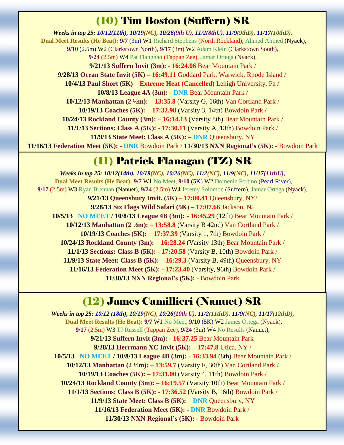# (10) Tim Boston (Suffern) SR

*Weeks in top 25: 10/12(11th), 10/19(NC), 10/26(9th U), 11/2(8thU), 11/9(9thD), 11/17(10thD),* **Dual Meet Results (He Beat): 9/7** (3m) W1 Richard Stephens (North Rockland), Ahmed Ahmed (Nyack), **9/10** (2.5m) W2 (Clarkstown North), **9/17** (3m) W2 Adam Klein (Clarkstown South), **9/24** (2.5m) W4 Pat Flangnan (Tappan Zee), Jamar Ortega (Nyack), **9/21/13 Suffern Invit (3m):** - **16:24.06** Bear Mountain Park / **9/28/13 Ocean State Invit (5K) – 16:49.11** Goddard Park, Warwick, Rhode Island / **10/4/13 Paul Short (5K)** – **Extreme Heat (Cancelled)** Lehigh University, Pa / **10/8/13 League 4A (3m):** - **DNR** Bear Mountain Park / **10/12/13 Manhattan (2 ½m):** – **13:35.8** (Varsity G, 16th) Van Cortland Park / **10/19/13 Coaches (5K):** – **17:32.98** (Varsity 3, 14th) Bowdoin Park / **10/24/13 Rockland County (3m):** – **16:14.13** (Varsity 8th) Bear Mountain Park / **11/1/13 Sections: Class A (5K):** - **17:30.11** (Varsity A, 13th) Bowdoin Park / **11/9/13 State Meet: Class A (5K):** – **DNR** Queensbury, NY **11/16/13 Federation Meet (5K): - DNR** Bowdoin Park / **11/30/13 NXN Regional's (5K):** - Bowdoin Park

# (11) Patrick Flanagan (TZ) SR

*Weeks in top 25: 10/12(14th), 10/19(NC), 10/26(NC), 11/2(NC), 11/9(NC), 11/17(11thU),* **Dual Meet Results (He Beat): 9/7** W1 No Meet, **9/10** (5K) W2 Domenic Fortino (Pearl River), **9/17** (2.5m) W3 Ryan Brennan (Nanuet), **9/24** (2.5m) W4 Jeremy Solomon (Suffern), Jamar Ortega (Nyack), **9/21/13 Queensbury Invit. (5K)** – **17:00.41** Queensbury, NY/ **9/28/13 Six Flags Wild Safari (5K)** – **17:07.66** Jackson, NJ **10/5/13 NO MEET / 10/8/13 League 4B (3m):** - **16:45.29** (12th) Bear Mountain Park / **10/12/13 Manhattan (2 ½m):** – **13:58.8** (Varsity B 42nd) Van Cortland Park / **10/19/13 Coaches (5K):** – **17:37.39** (Varsity 1, 7th) Bowdoin Park / **10/24/13 Rockland County (3m):** – **16:28.24** (Varsity 13th) Bear Mountain Park / **11/1/13 Sections: Class B (5K):** - **17:20.58** (Varsity B, 10th) Bowdoin Park / **11/9/13 State Meet: Class B (5K):** – **16:29.3** (Varsity B, 49th) Queensbury, NY **11/16/13 Federation Meet (5K): - 17:23.40** (Varsity, 96th) Bowdoin Park / **11/30/13 NXN Regional's (5K):** - Bowdoin Park

# (12) James Camillieri (Nanuet) SR

*Weeks in top 25: 10/12 (18th), 10/19(NC), 10/26(10th U), 11/2(11thD), 11/9(NC), 11/17(12thD),* **Dual Meet Results (He Beat): 9/7** W1 No Meet, **9/10** (5K) W2 James Ortega (Nyack), **9/17** (2.5m) W3 TJ Russell (Tappan Zee), **9/24** (3m) W4 No Results (Nanuet), **9/21/13 Suffern Invit (3m):** - **16:37.25** Bear Mountain Park **9/28/13 Herrmann XC Invit (5K): – 17:47.8** Utica, NY / **10/5/13 NO MEET / 10/8/13 League 4B (3m):** - **16:33.94** (8th) Bear Mountain Park / **10/12/13 Manhattan (2 ½m):** – **13:59.7** (Varsity F, 30th) Van Cortland Park / **10/19/13 Coaches (5K):** – **17:31.00** (Varsity 4, 11th) Bowdoin Park / **10/24/13 Rockland County (3m):** – **16:19.57** (Varsity 10th) Bear Mountain Park / **11/1/13 Sections: Class B (5K):** - **17:36.52** (Varsity B, 16th) Bowdoin Park / **11/9/13 State Meet: Class B (5K):** – **DNR** Queensbury, NY **11/16/13 Federation Meet (5K): - DNR** Bowdoin Park / **11/30/13 NXN Regional's (5K):** - Bowdoin Park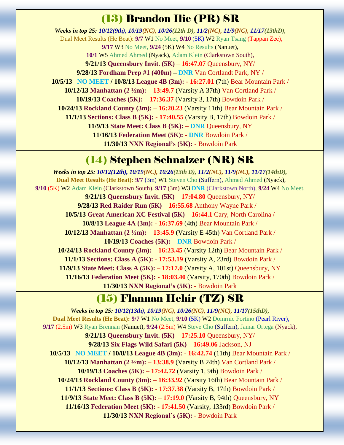#### (13) Brandon Ilie (PR) SR

*Weeks in top 25: 10/12(9th), 10/19(NC), 10/26(12th D), 11/2(NC), 11/9(NC), 11/17(13thD),* Dual Meet Results (He Beat): **9/7** W1 No Meet, **9/10** (5K) W2 Ryan Tsang (Tappan Zee), **9/17** W3 No Meet, **9/24** (5K) W4 No Results (Nanuet), **10/1** W5 Ahmed Ahmed (Nyack), Adam Klein (Clarkstown South), **9/21/13 Queensbury Invit. (5K)** – **16:47.07** Queensbury, NY/ **9/28/13 Fordham Prep #1 (400m) – DNR** Van Cortlandt Park, NY / **10/5/13 NO MEET / 10/8/13 League 4B (3m):** - **16:27.01** (7th) Bear Mountain Park / **10/12/13 Manhattan (2 ½m):** – **13:49.7** (Varsity A 37th) Van Cortland Park / **10/19/13 Coaches (5K):** – **17:36.37** (Varsity 3, 17th) Bowdoin Park / **10/24/13 Rockland County (3m):** – **16:20.23** (Varsity 11th) Bear Mountain Park / **11/1/13 Sections: Class B (5K):** - **17:40.55** (Varsity B, 17th) Bowdoin Park / **11/9/13 State Meet: Class B (5K):** – **DNR** Queensbury, NY **11/16/13 Federation Meet (5K): - DNR** Bowdoin Park / **11/30/13 NXN Regional's (5K):** - Bowdoin Park

# (14) Stephen Schnalzer (NR) SR

*Weeks in top 25: 10/12(12th), 10/19(NC), 10/26(13th D), 11/2(NC), 11/9(NC), 11/17(14thD),* **Dual Meet Results (He Beat): 9/7** (3m) W1 Steven Cho (Suffern), Ahmed Ahmed (Nyack), **9/10** (5K) W2 Adam Klein (Clarkstown South), **9/17** (3m) W3 **DNR** (Clarkstown North), **9/24** W4 No Meet, **9/21/13 Queensbury Invit. (5K)** – **17:04.80** Queensbury, NY/ **9/28/13 Red Raider Run (5K)** – **16:55.68** Anthony Wayne Park / **10/5/13 Great American XC Festival (5K)** – **16:44.1** Cary, North Carolina / **10/8/13 League 4A (3m):** - **16:37.69** (4th) Bear Mountain Park / **10/12/13 Manhattan (2 ½m):** – **13:45.9** (Varsity E 45th) Van Cortland Park / **10/19/13 Coaches (5K):** – **DNR** Bowdoin Park / **10/24/13 Rockland County (3m):** – **16:23.45** (Varsity 12th) Bear Mountain Park / **11/1/13 Sections: Class A (5K):** - **17:53.19** (Varsity A, 23rd) Bowdoin Park / **11/9/13 State Meet: Class A (5K):** – **17:17.0** (Varsity A, 101st) Queensbury, NY **11/16/13 Federation Meet (5K): - 18:03.40** (Varsity, 170th) Bowdoin Park / **11/30/13 NXN Regional's (5K):** - Bowdoin Park

#### (15) Flannan Hehir (TZ) SR

*Weeks in top 25: 10/12(13th), 10/19(NC), 10/26(NC), 11/9(NC), 11/17(15thD),* **Dual Meet Results (He Beat): 9/7** W1 No Meet, **9/10** (5K) W2 Domrnic Fortino (Pearl River), **9/17** (2.5m) W3 Ryan Brennan (Nanuet), **9/24** (2.5m) W4 Steve Cho (Suffern), Jamar Ortega (Nyack), **9/21/13 Queensbury Invit. (5K)** – **17:25.10** Queensbury, NY/ **9/28/13 Six Flags Wild Safari (5K)** – **16:49.06** Jackson, NJ **10/5/13 NO MEET / 10/8/13 League 4B (3m):** - **16:42.74** (11th) Bear Mountain Park / **10/12/13 Manhattan (2 ½m):** – **13:38.9** (Varsity B 24th) Van Cortland Park / **10/19/13 Coaches (5K):** – **17:42.72** (Varsity 1, 9th) Bowdoin Park / **10/24/13 Rockland County (3m):** – **16:33.92** (Varsity 16th) Bear Mountain Park / **11/1/13 Sections: Class B (5K):** - **17:37.38** (Varsity B, 17th) Bowdoin Park / **11/9/13 State Meet: Class B (5K):** – **17:19.0** (Varsity B, 94th) Queensbury, NY **11/16/13 Federation Meet (5K): - 17:41.50** (Varsity, 133rd) Bowdoin Park / **11/30/13 NXN Regional's (5K):** - Bowdoin Park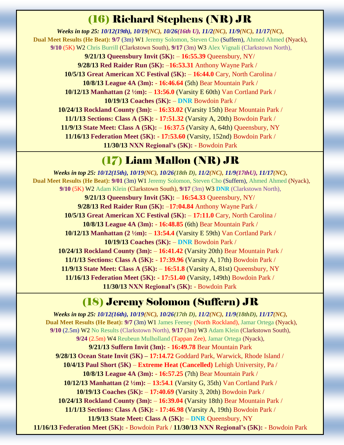# (16) Richard Stephens (NR) JR

*Weeks in top 25: 10/12(19th), 10/19(NC), 10/26(16th U), 11/2(NC), 11/9(NC), 11/17(NC),* **Dual Meet Results (He Beat): 9/7** (3m) W1 Jeremy Solomon, Steven Cho (Suffern), Ahmed Ahmed (Nyack), **9/10** (5K) W2 Chris Burrill (Clarkstown South), **9/17** (3m) W3 Alex Vignali (Clarkstown North), **9/21/13 Queensbury Invit (5K):** – **16:55.39** Queensbury, NY/ **9/28/13 Red Raider Run (5K):** –**16:53.31** Anthony Wayne Park / **10/5/13 Great American XC Festival (5K):** – **16:44.0** Cary, North Carolina / **10/8/13 League 4A (3m):** - **16:46.64** (5th) Bear Mountain Park /

**10/12/13 Manhattan (2 ½m):** – **13:56.0** (Varsity E 60th) Van Cortland Park /

**10/19/13 Coaches (5K):** – **DNR** Bowdoin Park /

**10/24/13 Rockland County (3m):** – **16:33.02** (Varsity 15th) Bear Mountain Park /

**11/1/13 Sections: Class A (5K):** - **17:51.32** (Varsity A, 20th) Bowdoin Park /

**11/9/13 State Meet: Class A (5K):** – **16:37.5** (Varsity A, 64th) Queensbury, NY **11/16/13 Federation Meet (5K): - 17:53.60** (Varsity, 152nd) Bowdoin Park /

**11/30/13 NXN Regional's (5K):** - Bowdoin Park

# (17) Liam Mallon (NR) JR

*Weeks in top 25: 10/12(15th), 10/19(NC), 10/26(18th D), 11/2(NC), 11/9(17thU), 11/17(NC),* **Dual Meet Results (He Beat): 9/01** (3m) W1 Jeremy Solomon, Steven Cho (Suffern), Ahmed Ahmed (Nyack), **9/10** (5K) W2 Adam Klein (Clarkstown South), **9/17** (3m) W3 **DNR** (Clarkstown North), **9/21/13 Queensbury Invit (5K):** – **16:54.33** Queensbury, NY/ **9/28/13 Red Raider Run (5K):** –**17:04.84** Anthony Wayne Park / **10/5/13 Great American XC Festival (5K):** – **17:11.0** Cary, North Carolina / **10/8/13 League 4A (3m):** - **16:48.85** (6th) Bear Mountain Park / **10/12/13 Manhattan (2 ½m):** – **13:54.4** (Varsity E 59th) Van Cortland Park / **10/19/13 Coaches (5K):** – **DNR** Bowdoin Park / **10/24/13 Rockland County (3m):** – **16:41.42** (Varsity 20th) Bear Mountain Park / **11/1/13 Sections: Class A (5K):** - **17:39.96** (Varsity A, 17th) Bowdoin Park / **11/9/13 State Meet: Class A (5K):** – **16:51.8** (Varsity A, 81st) Queensbury, NY **11/16/13 Federation Meet (5K): - 17:51.40** (Varsity, 149th) Bowdoin Park / **11/30/13 NXN Regional's (5K):** - Bowdoin Park

# (18) Jeremy Solomon (Suffern) JR

*Weeks in top 25: 10/12(16th), 10/19(NC), 10/26(17th D), 11/2(NC), 11/9(18thD), 11/17(NC),* **Dual Meet Results (He Beat): 9/7** (3m) W1 James Feeney (North Rockland), Jamar Ortega (Nyack), **9/10** (2.5m) W2 No Results (Clarkstown North), **9/17** (3m) W3 Adam Klein (Clarkstown South), **9/24** (2.5m) W4 Reubeun Mulholland (Tappan Zee), Jamar Ortega (Nyack), **9/21/13 Suffern Invit (3m):** - **16:49.78** Bear Mountain Park **9/28/13 Ocean State Invit (5K) – 17:14.72** Goddard Park, Warwick, Rhode Island / **10/4/13 Paul Short (5K)** – **Extreme Heat (Cancelled)** Lehigh University, Pa / **10/8/13 League 4A (3m):** - **16:57.25** (7th) Bear Mountain Park / **10/12/13 Manhattan (2 ½m):** – **13:54.1** (Varsity G, 35th) Van Cortland Park / **10/19/13 Coaches (5K):** – **17:40.69** (Varsity 3, 20th) Bowdoin Park / **10/24/13 Rockland County (3m):** – **16:39.04** (Varsity 18th) Bear Mountain Park / **11/1/13 Sections: Class A (5K):** - **17:46.98** (Varsity A, 19th) Bowdoin Park / **11/9/13 State Meet: Class A (5K):** – **DNR** Queensbury, NY **11/16/13 Federation Meet (5K): -** Bowdoin Park / **11/30/13 NXN Regional's (5K):** - Bowdoin Park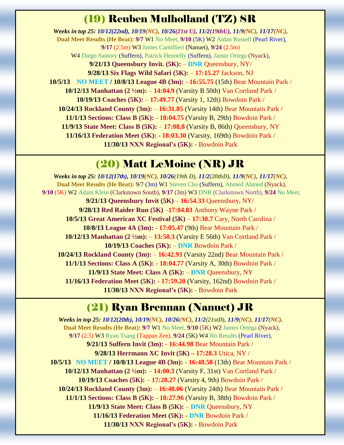### (19) Reuben Mulholland (TZ) SR

*Weeks in top 25: 10/12(22nd), 10/19(NC), 10/26(21st U), 11/2(19thU), 11/9(NC), 11/17(NC),* **Dual Meet Results (He Beat): 9/7** W1 No Meet, **9/10** (5K) W2 Aidan Russell (Pearl River), **9/17** (2.5m) W3 James Camillieri (Nanuet), **9/24** (2.5m) W4 Diego Santory (Suffern), Patrick Hennelly (Suffern), Jamar Ortega (Nyack), **9/21/13 Queensbury Invit. (5K):** – **DNR** Queensbury, NY/ **9/28/13 Six Flags Wild Safari (5K):** – **17:15.27** Jackson, NJ **10/5/13 NO MEET / 10/8/13 League 4B (3m):** - **16:55.75** (15th) Bear Mountain Park / **10/12/13 Manhattan (2 ½m):** – **14:04.9** (Varsity B 50th) Van Cortland Park / **10/19/13 Coaches (5K):** – **17:49.77** (Varsity 1, 12th) Bowdoin Park / **10/24/13 Rockland County (3m):** – **16:31.85** (Varsity 14th) Bear Mountain Park / **11/1/13 Sections: Class B (5K):** - **18:04.75** (Varsity B, 29th) Bowdoin Park / **11/9/13 State Meet: Class B (5K):** – **17:08.8** (Varsity B, 86th) Queensbury, NY **11/16/13 Federation Meet (5K): - 18:03.30** (Varsity, 169th) Bowdoin Park / **11/30/13 NXN Regional's (5K):** - Bowdoin Park

### (20) Matt LeMoine (NR) JR

*Weeks in top 25: 10/12(17th), 10/19(NC), 10/26(19th D), 11/2(20thD), 11/9(NC), 11/17(NC),* **Dual Meet Results (He Beat):** 9/7 (3m) W1 Steven Cho (Suffern), Ahmed Ahmed (Nyack), **9/10** (5K) W2 Adam Klein (Clarkstown South), **9/17** (3m) W3 DNR (Clarkstown North), **9/24** No Meet, **9/21/13 Queensbury Invit (5K)** – **16:54.33** Queensbury, NY/ **9/28/13 Red Raider Run (5K)** –**17:04.83** Anthony Wayne Park / **10/5/13 Great American XC Festival (5K)** – **17:30.7** Cary, North Carolina / **10/8/13 League 4A (3m):** - **17:05.47** (9th) Bear Mountain Park / **10/12/13 Manhattan (2 ½m):** – **13:50.3** (Varsity E 56th) Van Cortland Park / **10/19/13 Coaches (5K):** – **DNR** Bowdoin Park / **10/24/13 Rockland County (3m):** – **16:42.93** (Varsity 22nd) Bear Mountain Park / **11/1/13 Sections: Class A (5K):** - **18:04.77** (Varsity A, 30th) Bowdoin Park / **11/9/13 State Meet: Class A (5K):** – **DNR** Queensbury, NY **11/16/13 Federation Meet (5K): - 17:59.20** (Varsity, 162nd) Bowdoin Park / **11/30/13 NXN Regional's (5K):** - Bowdoin Park

#### (21) Ryan Brennan (Nanuet) JR

*Weeks in top 25: 10/12(20th), 10/19(NC), 10/26(NC), 11/2(21stD), 11/9(NC), 11/17(NC),* **Dual Meet Results (He Beat): 9/7** W1 No Meet, **9/10** (5K) W2 James Ortega (Nyack), **9/17** (2.5) W3 Ryan Tsang (Tappan Zee), **9/24** (5K) W4 No Results (Pearl River), **9/21/13 Suffern Invit (3m):** - **16:44.98** Bear Mountain Park /  **9/28/13 Herrmann XC Invit (5K) – 17:28.3** Utica, NY / **10/5/13 NO MEET / 10/8/13 League 4B (3m):** - **16:48.58** (13th) Bear Mountain Park / **10/12/13 Manhattan (2 ½m):** – **14:00.3** (Varsity F, 31st) Van Cortland Park / **10/19/13 Coaches (5K):** – **17:28.27** (Varsity 4, 9th) Bowdoin Park / **10/24/13 Rockland County (3m):** – **16:48.06** (Varsity 24th) Bear Mountain Park / **11/1/13 Sections: Class B (5K):** - **18:27.96** (Varsity B, 38th) Bowdoin Park / **11/9/13 State Meet: Class B (5K):** – **DNR** Queensbury, NY **11/16/13 Federation Meet (5K): - DNR** Bowdoin Park / **11/30/13 NXN Regional's (5K):** - Bowdoin Park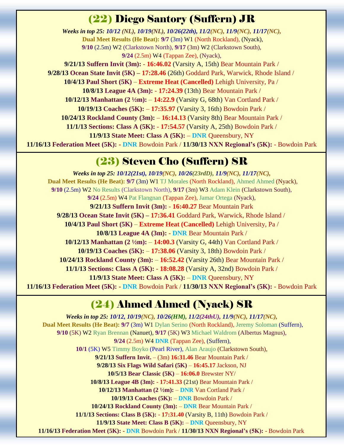#### (22) Diego Santory (Suffern) JR

*Weeks in top 25: 10/12 (NL), 10/19(NL), 10/26(22th), 11/2(NC), 11/9(NC), 11/17(NC),* **Dual Meet Results (He Beat): 9/7** (3m) W1 (North Rockland), (Nyack), **9/10** (2.5m) W2 (Clarkstown North), **9/17** (3m) W2 (Clarkstown South), **9/24** (2.5m) W4 (Tappan Zee), (Nyack),

**9/21/13 Suffern Invit (3m):** - **16:46.02** (Varsity A, 15th) Bear Mountain Park / **9/28/13 Ocean State Invit (5K) – 17:28.46** (26th) Goddard Park, Warwick, Rhode Island / **10/4/13 Paul Short (5K)** – **Extreme Heat (Cancelled)** Lehigh University, Pa / **10/8/13 League 4A (3m):** - **17:24.39** (13th) Bear Mountain Park / **10/12/13 Manhattan (2 ½m):** – **14:22.9** (Varsity G, 68th) Van Cortland Park / **10/19/13 Coaches (5K):** – **17:35.97** (Varsity 3, 16th) Bowdoin Park / **10/24/13 Rockland County (3m):** – **16:14.13** (Varsity 8th) Bear Mountain Park / **11/1/13 Sections: Class A (5K):** - **17:54.57** (Varsity A, 25th) Bowdoin Park / **11/9/13 State Meet: Class A (5K):** – **DNR** Queensbury, NY **11/16/13 Federation Meet (5K): - DNR** Bowdoin Park / **11/30/13 NXN Regional's (5K):** - Bowdoin Park

#### (23) Steven Cho (Suffern) SR

*Weeks in top 25: 10/12(21st), 10/19(NC), 10/26(23rdD), 11/9(NC), 11/17(NC),* **Dual Meet Results (He Beat): 9/7** (3m) W1 TJ Morales (North Rockland), Ahmed Ahmed (Nyack), **9/10** (2.5m) W2 No Results (Clarkstown North), **9/17** (3m) W3 Adam Klein (Clarkstown South), **9/24** (2.5m) W4 Pat Flangnan (Tappan Zee), Jamar Ortega (Nyack), **9/21/13 Suffern Invit (3m):** - **16:40.27** Bear Mountain Park **9/28/13 Ocean State Invit (5K) – 17:36.41** Goddard Park, Warwick, Rhode Island / **10/4/13 Paul Short (5K)** – **Extreme Heat (Cancelled)** Lehigh University, Pa / **10/8/13 League 4A (3m):** - **DNR** Bear Mountain Park / **10/12/13 Manhattan (2 ½m):** – **14:00.3** (Varsity G, 44th) Van Cortland Park / **10/19/13 Coaches (5K):** – **17:38.06** (Varsity 3, 18th) Bowdoin Park / **10/24/13 Rockland County (3m):** – **16:52.42** (Varsity 26th) Bear Mountain Park / **11/1/13 Sections: Class A (5K):** - **18:08.28** (Varsity A, 32nd) Bowdoin Park / **11/9/13 State Meet: Class A (5K):** – **DNR** Queensbury, NY **11/16/13 Federation Meet (5K): - DNR** Bowdoin Park / **11/30/13 NXN Regional's (5K):** - Bowdoin Park

# (24) Ahmed Ahmed (Nyack) SR

*Weeks in top 25: 10/12, 10/19(NC), 10/26(HM), 11/2(24thU), 11/9(NC), 11/17(NC),* **Dual Meet Results (He Beat): 9/7** (3m) W1 Dylan Serino (North Rockland), Jeremy Soloman (Suffern), **9/10** (5K) W2 Ryan Brennan (Nanuet), **9/17** (5K) W3 Michael Waldrom (Albertus Magnus), **9/24** (2.5m) W4 **DNR** (Tappan Zee), (Suffern), **10/1** (5K) W5 Timmy Boyko (Pearl River), Alan Araujo (Clarkstown South), **9/21/13 Suffern Invit.** – (3m) **16:31.46** Bear Mountain Park / **9/28/13 Six Flags Wild Safari (5K)** – **16:45.17** Jackson, NJ **10/5/13 Bear Classic (5K)** – **16:06.0** Brewster NY/ **10/8/13 League 4B (3m):** - **17:41.33** (21st) Bear Mountain Park / **10/12/13 Manhattan (2 ½m):** – **DNR** Van Cortland Park / **10/19/13 Coaches (5K):** – **DNR** Bowdoin Park / **10/24/13 Rockland County (3m):** – **DNR** Bear Mountain Park / **11/1/13 Sections: Class B (5K):** - **17:31.40** (Varsity B, 11th) Bowdoin Park / **11/9/13 State Meet: Class B (5K):** – **DNR** Queensbury, NY **11/16/13 Federation Meet (5K): - DNR** Bowdoin Park / **11/30/13 NXN Regional's (5K):** - Bowdoin Park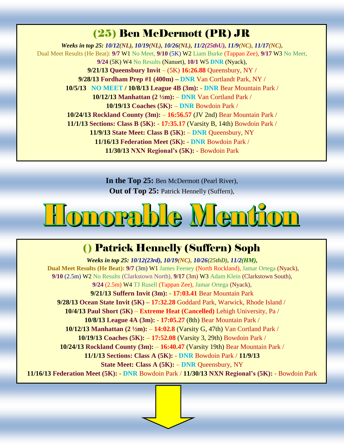# (25) Ben McDermott (PR) JR

*Weeks in top 25: 10/12(NL), 10/19(NL), 10/26(NL), 11/2(25thU), 11/9(NC), 11/17(NC),* Dual Meet Results (He Beat): **9/7** W1 No Meet, **9/10** (5K) W2 Liam Burke (Tappan Zee), **9/17** W3 No Meet, **9/24** (5K) W4 No Results (Nanuet), **10/1** W5 **DNR** (Nyack), **9/21/13 Queensbury Invit** – (5K) **16:26.88** Queensbury, NY / **9/28/13 Fordham Prep #1 (400m) – DNR** Van Cortlandt Park, NY / **10/5/13 NO MEET / 10/8/13 League 4B (3m):** - **DNR** Bear Mountain Park / **10/12/13 Manhattan (2 ½m):** – **DNR** Van Cortland Park / **10/19/13 Coaches (5K):** – **DNR** Bowdoin Park / **10/24/13 Rockland County (3m):** – **16:56.57** (JV 2nd) Bear Mountain Park / **11/1/13 Sections: Class B (5K):** - **17:35.17** (Varsity B, 14th) Bowdoin Park / **11/9/13 State Meet: Class B (5K):** – **DNR** Queensbury, NY **11/16/13 Federation Meet (5K): - DNR** Bowdoin Park / **11/30/13 NXN Regional's (5K):** - Bowdoin Park

> **In the Top 25:** Ben McDermott (Pearl River), **Out of Top 25:** Patrick Hennelly (Suffern),

# <u>Ionorable Mention</u>

# () Patrick Hennelly (Suffern) Soph

*Weeks in top 25: 10/12(23rd), 10/19(NC), 10/26(25thD), 11/2(HM),* **Dual Meet Results (He Beat): 9/7** (3m) W1 James Feeney (North Rockland), Jamar Ortega (Nyack), **9/10** (2.5m) W2 No Results (Clarkstown North), **9/17** (3m) W3 Adam Klein (Clarkstown South), **9/24** (2.5m) W4 TJ Rusell (Tappan Zee), Jamar Ortega (Nyack), **9/21/13 Suffern Invit (3m):** - **17:03.41** Bear Mountain Park **9/28/13 Ocean State Invit (5K) – 17:32.28** Goddard Park, Warwick, Rhode Island / **10/4/13 Paul Short (5K)** – **Extreme Heat (Cancelled)** Lehigh University, Pa / **10/8/13 League 4A (3m):** - **17:05.27** (8th) Bear Mountain Park / **10/12/13 Manhattan (2 ½m):** – **14:02.8** (Varsity G, 47th) Van Cortland Park / **10/19/13 Coaches (5K):** – **17:52.08** (Varsity 3, 29th) Bowdoin Park / **10/24/13 Rockland County (3m):** – **16:40.47** (Varsity 19th) Bear Mountain Park / **11/1/13 Sections: Class A (5K):** - **DNR** Bowdoin Park / **11/9/13 State Meet: Class A (5K):** – **DNR** Queensbury, NY **11/16/13 Federation Meet (5K): - DNR** Bowdoin Park / **11/30/13 NXN Regional's (5K):** - Bowdoin Park